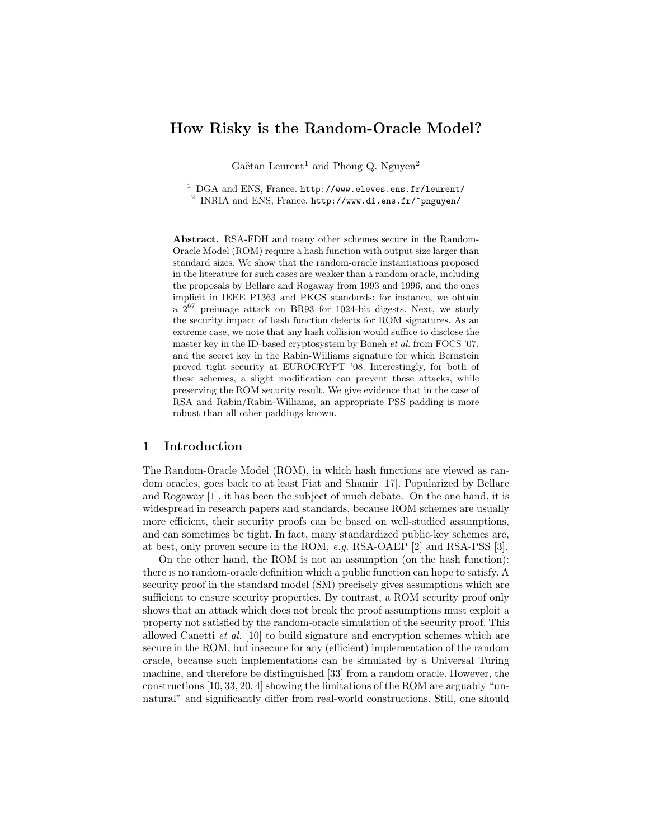# How Risky is the Random-Oracle Model?

Gaëtan Leurent<sup>1</sup> and Phong Q. Nguyen<sup>2</sup>

<sup>1</sup> DGA and ENS, France. http://www.eleves.ens.fr/leurent/  $^2$  INRIA and ENS, France. http://www.di.ens.fr/~pnguyen/

Abstract. RSA-FDH and many other schemes secure in the Random-Oracle Model (ROM) require a hash function with output size larger than standard sizes. We show that the random-oracle instantiations proposed in the literature for such cases are weaker than a random oracle, including the proposals by Bellare and Rogaway from 1993 and 1996, and the ones implicit in IEEE P1363 and PKCS standards: for instance, we obtain a  $2^{67}$  preimage attack on BR93 for 1024-bit digests. Next, we study the security impact of hash function defects for ROM signatures. As an extreme case, we note that any hash collision would suffice to disclose the master key in the ID-based cryptosystem by Boneh et al. from FOCS '07, and the secret key in the Rabin-Williams signature for which Bernstein proved tight security at EUROCRYPT '08. Interestingly, for both of these schemes, a slight modification can prevent these attacks, while preserving the ROM security result. We give evidence that in the case of RSA and Rabin/Rabin-Williams, an appropriate PSS padding is more robust than all other paddings known.

# 1 Introduction

The Random-Oracle Model (ROM), in which hash functions are viewed as random oracles, goes back to at least Fiat and Shamir [17]. Popularized by Bellare and Rogaway [1], it has been the subject of much debate. On the one hand, it is widespread in research papers and standards, because ROM schemes are usually more efficient, their security proofs can be based on well-studied assumptions, and can sometimes be tight. In fact, many standardized public-key schemes are, at best, only proven secure in the ROM, e.g. RSA-OAEP [2] and RSA-PSS [3].

On the other hand, the ROM is not an assumption (on the hash function): there is no random-oracle definition which a public function can hope to satisfy. A security proof in the standard model (SM) precisely gives assumptions which are sufficient to ensure security properties. By contrast, a ROM security proof only shows that an attack which does not break the proof assumptions must exploit a property not satisfied by the random-oracle simulation of the security proof. This allowed Canetti et al. [10] to build signature and encryption schemes which are secure in the ROM, but insecure for any (efficient) implementation of the random oracle, because such implementations can be simulated by a Universal Turing machine, and therefore be distinguished [33] from a random oracle. However, the constructions [10, 33, 20, 4] showing the limitations of the ROM are arguably "unnatural" and significantly differ from real-world constructions. Still, one should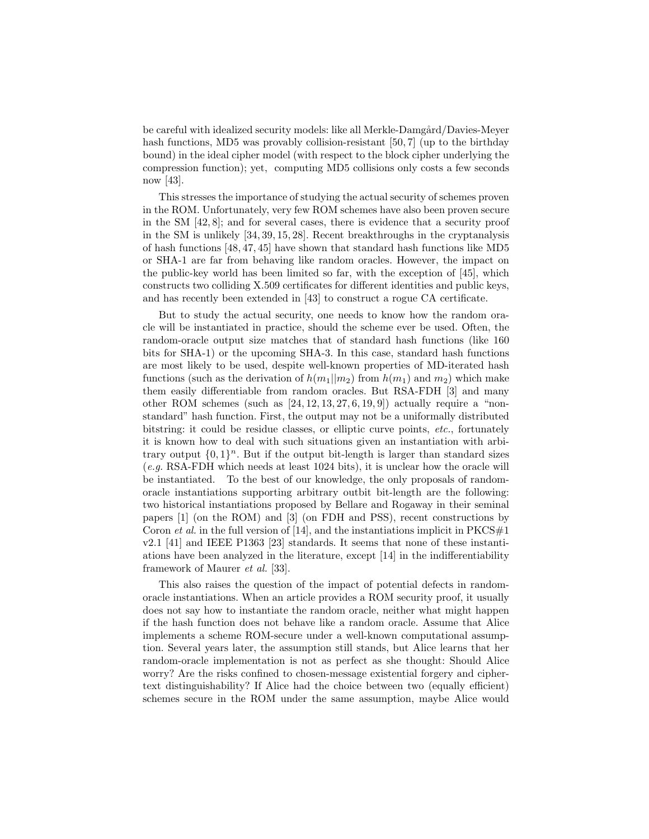be careful with idealized security models: like all Merkle-Damgård/Davies-Meyer hash functions, MD5 was provably collision-resistant [50, 7] (up to the birthday bound) in the ideal cipher model (with respect to the block cipher underlying the compression function); yet, computing MD5 collisions only costs a few seconds now [43].

This stresses the importance of studying the actual security of schemes proven in the ROM. Unfortunately, very few ROM schemes have also been proven secure in the SM [42, 8]; and for several cases, there is evidence that a security proof in the SM is unlikely [34, 39, 15, 28]. Recent breakthroughs in the cryptanalysis of hash functions [48, 47, 45] have shown that standard hash functions like MD5 or SHA-1 are far from behaving like random oracles. However, the impact on the public-key world has been limited so far, with the exception of [45], which constructs two colliding X.509 certificates for different identities and public keys, and has recently been extended in [43] to construct a rogue CA certificate.

But to study the actual security, one needs to know how the random oracle will be instantiated in practice, should the scheme ever be used. Often, the random-oracle output size matches that of standard hash functions (like 160 bits for SHA-1) or the upcoming SHA-3. In this case, standard hash functions are most likely to be used, despite well-known properties of MD-iterated hash functions (such as the derivation of  $h(m_1||m_2)$  from  $h(m_1)$  and  $m_2$ ) which make them easily differentiable from random oracles. But RSA-FDH [3] and many other ROM schemes (such as  $[24, 12, 13, 27, 6, 19, 9]$ ) actually require a "nonstandard" hash function. First, the output may not be a uniformally distributed bitstring: it could be residue classes, or elliptic curve points, etc., fortunately it is known how to deal with such situations given an instantiation with arbitrary output  $\{0,1\}^n$ . But if the output bit-length is larger than standard sizes (e.g. RSA-FDH which needs at least 1024 bits), it is unclear how the oracle will be instantiated. To the best of our knowledge, the only proposals of randomoracle instantiations supporting arbitrary outbit bit-length are the following: two historical instantiations proposed by Bellare and Rogaway in their seminal papers [1] (on the ROM) and [3] (on FDH and PSS), recent constructions by Coron *et al.* in the full version of [14], and the instantiations implicit in  $PKCS#1$ v2.1 [41] and IEEE P1363 [23] standards. It seems that none of these instantiations have been analyzed in the literature, except [14] in the indifferentiability framework of Maurer et al. [33].

This also raises the question of the impact of potential defects in randomoracle instantiations. When an article provides a ROM security proof, it usually does not say how to instantiate the random oracle, neither what might happen if the hash function does not behave like a random oracle. Assume that Alice implements a scheme ROM-secure under a well-known computational assumption. Several years later, the assumption still stands, but Alice learns that her random-oracle implementation is not as perfect as she thought: Should Alice worry? Are the risks confined to chosen-message existential forgery and ciphertext distinguishability? If Alice had the choice between two (equally efficient) schemes secure in the ROM under the same assumption, maybe Alice would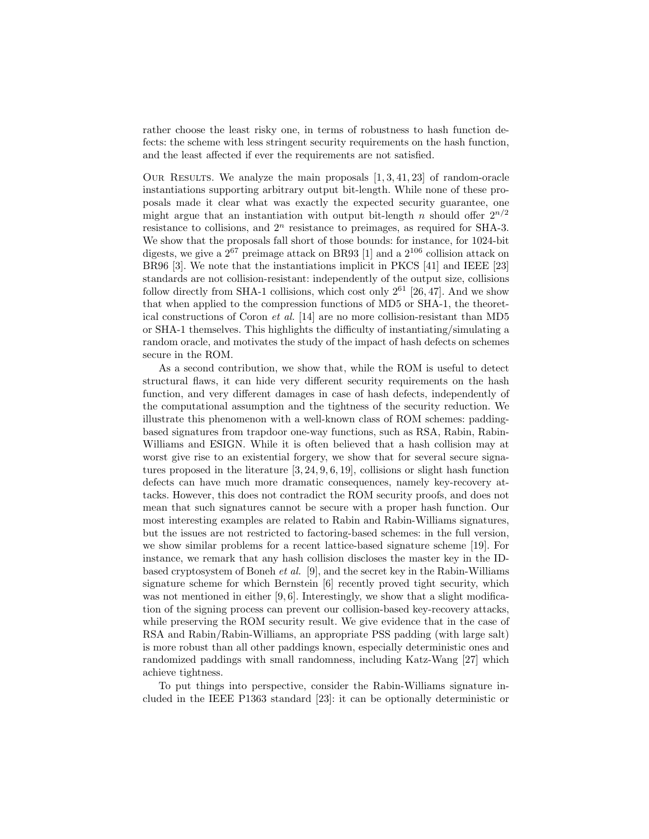rather choose the least risky one, in terms of robustness to hash function defects: the scheme with less stringent security requirements on the hash function, and the least affected if ever the requirements are not satisfied.

OUR RESULTS. We analyze the main proposals  $[1, 3, 41, 23]$  of random-oracle instantiations supporting arbitrary output bit-length. While none of these proposals made it clear what was exactly the expected security guarantee, one might argue that an instantiation with output bit-length n should offer  $2^{n/2}$ resistance to collisions, and  $2<sup>n</sup>$  resistance to preimages, as required for SHA-3. We show that the proposals fall short of those bounds: for instance, for 1024-bit digests, we give a  $2^{67}$  preimage attack on BR93 [1] and a  $2^{106}$  collision attack on BR96 [3]. We note that the instantiations implicit in PKCS [41] and IEEE [23] standards are not collision-resistant: independently of the output size, collisions follow directly from SHA-1 collisions, which cost only  $2^{61}$  [26, 47]. And we show that when applied to the compression functions of MD5 or SHA-1, the theoretical constructions of Coron et al. [14] are no more collision-resistant than MD5 or SHA-1 themselves. This highlights the difficulty of instantiating/simulating a random oracle, and motivates the study of the impact of hash defects on schemes secure in the ROM.

As a second contribution, we show that, while the ROM is useful to detect structural flaws, it can hide very different security requirements on the hash function, and very different damages in case of hash defects, independently of the computational assumption and the tightness of the security reduction. We illustrate this phenomenon with a well-known class of ROM schemes: paddingbased signatures from trapdoor one-way functions, such as RSA, Rabin, Rabin-Williams and ESIGN. While it is often believed that a hash collision may at worst give rise to an existential forgery, we show that for several secure signatures proposed in the literature [3, 24, 9, 6, 19], collisions or slight hash function defects can have much more dramatic consequences, namely key-recovery attacks. However, this does not contradict the ROM security proofs, and does not mean that such signatures cannot be secure with a proper hash function. Our most interesting examples are related to Rabin and Rabin-Williams signatures, but the issues are not restricted to factoring-based schemes: in the full version, we show similar problems for a recent lattice-based signature scheme [19]. For instance, we remark that any hash collision discloses the master key in the IDbased cryptosystem of Boneh et al. [9], and the secret key in the Rabin-Williams signature scheme for which Bernstein [6] recently proved tight security, which was not mentioned in either [9, 6]. Interestingly, we show that a slight modification of the signing process can prevent our collision-based key-recovery attacks, while preserving the ROM security result. We give evidence that in the case of RSA and Rabin/Rabin-Williams, an appropriate PSS padding (with large salt) is more robust than all other paddings known, especially deterministic ones and randomized paddings with small randomness, including Katz-Wang [27] which achieve tightness.

To put things into perspective, consider the Rabin-Williams signature included in the IEEE P1363 standard [23]: it can be optionally deterministic or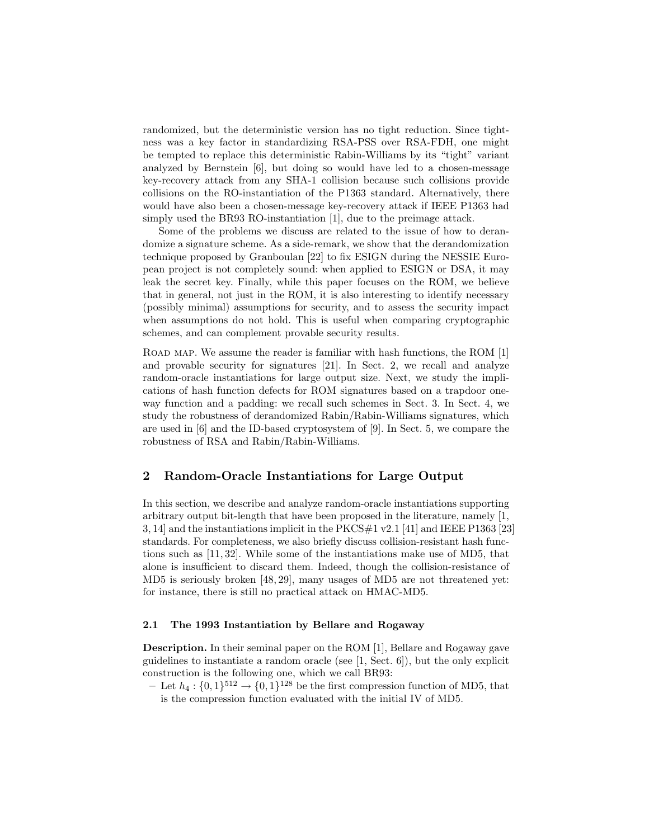randomized, but the deterministic version has no tight reduction. Since tightness was a key factor in standardizing RSA-PSS over RSA-FDH, one might be tempted to replace this deterministic Rabin-Williams by its "tight" variant analyzed by Bernstein [6], but doing so would have led to a chosen-message key-recovery attack from any SHA-1 collision because such collisions provide collisions on the RO-instantiation of the P1363 standard. Alternatively, there would have also been a chosen-message key-recovery attack if IEEE P1363 had simply used the BR93 RO-instantiation [1], due to the preimage attack.

Some of the problems we discuss are related to the issue of how to derandomize a signature scheme. As a side-remark, we show that the derandomization technique proposed by Granboulan [22] to fix ESIGN during the NESSIE European project is not completely sound: when applied to ESIGN or DSA, it may leak the secret key. Finally, while this paper focuses on the ROM, we believe that in general, not just in the ROM, it is also interesting to identify necessary (possibly minimal) assumptions for security, and to assess the security impact when assumptions do not hold. This is useful when comparing cryptographic schemes, and can complement provable security results.

ROAD MAP. We assume the reader is familiar with hash functions, the ROM [1] and provable security for signatures [21]. In Sect. 2, we recall and analyze random-oracle instantiations for large output size. Next, we study the implications of hash function defects for ROM signatures based on a trapdoor oneway function and a padding: we recall such schemes in Sect. 3. In Sect. 4, we study the robustness of derandomized Rabin/Rabin-Williams signatures, which are used in [6] and the ID-based cryptosystem of [9]. In Sect. 5, we compare the robustness of RSA and Rabin/Rabin-Williams.

# 2 Random-Oracle Instantiations for Large Output

In this section, we describe and analyze random-oracle instantiations supporting arbitrary output bit-length that have been proposed in the literature, namely [1, 3, 14] and the instantiations implicit in the PKCS $\#1$  v2.1 [41] and IEEE P1363 [23] standards. For completeness, we also briefly discuss collision-resistant hash functions such as [11, 32]. While some of the instantiations make use of MD5, that alone is insufficient to discard them. Indeed, though the collision-resistance of MD5 is seriously broken [48, 29], many usages of MD5 are not threatened yet: for instance, there is still no practical attack on HMAC-MD5.

## 2.1 The 1993 Instantiation by Bellare and Rogaway

Description. In their seminal paper on the ROM [1], Bellare and Rogaway gave guidelines to instantiate a random oracle (see [1, Sect. 6]), but the only explicit construction is the following one, which we call BR93:

- Let  $h_4: \{0,1\}^{512} \rightarrow \{0,1\}^{128}$  be the first compression function of MD5, that is the compression function evaluated with the initial IV of MD5.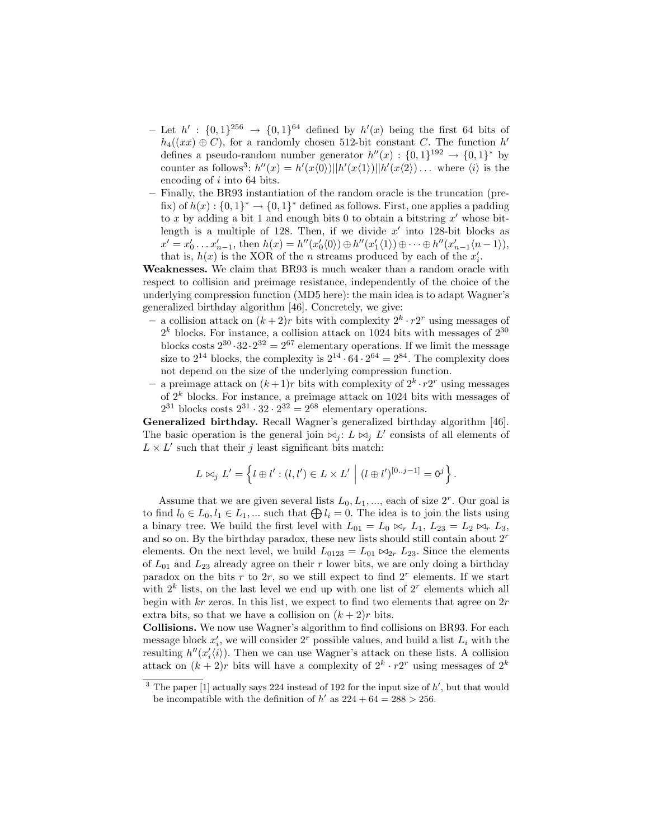- Let  $h' : \{0,1\}^{256} \to \{0,1\}^{64}$  defined by  $h'(x)$  being the first 64 bits of  $h_4((xx) \oplus C)$ , for a randomly chosen 512-bit constant C. The function  $h'$ defines a pseudo-random number generator  $h''(x) : \{0,1\}^{192} \rightarrow \{0,1\}^*$  by counter as follows<sup>3</sup>:  $h''(x) = h'(x\langle 0 \rangle) ||h'(x\langle 1 \rangle)||h'(x\langle 2 \rangle) \dots$  where  $\langle i \rangle$  is the encoding of i into 64 bits.
- Finally, the BR93 instantiation of the random oracle is the truncation (prefix) of  $h(x): \{0,1\}^* \to \{0,1\}^*$  defined as follows. First, one applies a padding to x by adding a bit 1 and enough bits 0 to obtain a bitstring  $x'$  whose bitlength is a multiple of 128. Then, if we divide  $x'$  into 128-bit blocks as  $x' = x'_0 \dots x'_{n-1}$ , then  $h(x) = h''(x'_0(0)) \oplus h''(x'_1(1)) \oplus \cdots \oplus h''(x'_{n-1}(n-1)),$ that is,  $h(x)$  is the XOR of the *n* streams produced by each of the  $x'_i$ .

Weaknesses. We claim that BR93 is much weaker than a random oracle with respect to collision and preimage resistance, independently of the choice of the underlying compression function (MD5 here): the main idea is to adapt Wagner's generalized birthday algorithm [46]. Concretely, we give:

- a collision attack on  $(k+2)r$  bits with complexity  $2^k \cdot r2^r$  using messages of  $2<sup>k</sup>$  blocks. For instance, a collision attack on 1024 bits with messages of  $2<sup>30</sup>$ blocks costs  $2^{30} \cdot 32 \cdot 2^{32} = 2^{67}$  elementary operations. If we limit the message size to  $2^{14}$  blocks, the complexity is  $2^{14} \cdot 64 \cdot 2^{64} = 2^{84}$ . The complexity does not depend on the size of the underlying compression function.
- a preimage attack on  $(k+1)r$  bits with complexity of  $2^k \cdot r2^r$  using messages of  $2^k$  blocks. For instance, a preimage attack on 1024 bits with messages of  $2^{31}$  blocks costs  $2^{31} \cdot 32 \cdot 2^{32} = 2^{68}$  elementary operations.

Generalized birthday. Recall Wagner's generalized birthday algorithm [46]. The basic operation is the general join  $\bowtie_j$ :  $L \bowtie_j L'$  consists of all elements of  $L \times L'$  such that their j least significant bits match:

$$
L \bowtie_j L' = \left\{ l \oplus l' : (l, l') \in L \times L' \mid (l \oplus l')^{[0..j-1]} = 0^j \right\}.
$$

Assume that we are given several lists  $L_0, L_1, \dots$ , each of size  $2^r$ . Our goal is to find  $l_0 \in L_0, l_1 \in L_1, ...$  such that  $\bigoplus l_i = 0$ . The idea is to join the lists using a binary tree. We build the first level with  $L_{01} = L_0 \bowtie_r L_1$ ,  $L_{23} = L_2 \bowtie_r L_3$ , and so on. By the birthday paradox, these new lists should still contain about  $2<sup>r</sup>$ elements. On the next level, we build  $L_{0123} = L_{01} \bowtie_{2r} L_{23}$ . Since the elements of  $L_{01}$  and  $L_{23}$  already agree on their r lower bits, we are only doing a birthday paradox on the bits r to  $2r$ , so we still expect to find  $2<sup>r</sup>$  elements. If we start with  $2^k$  lists, on the last level we end up with one list of  $2^r$  elements which all begin with  $kr$  zeros. In this list, we expect to find two elements that agree on  $2r$ extra bits, so that we have a collision on  $(k+2)r$  bits.

Collisions. We now use Wagner's algorithm to find collisions on BR93. For each message block  $x_i'$ , we will consider  $2^r$  possible values, and build a list  $L_i$  with the resulting  $h''(x_i'(i))$ . Then we can use Wagner's attack on these lists. A collision attack on  $(k+2)r$  bits will have a complexity of  $2^k \cdot r2^r$  using messages of  $2^k$ 

<sup>&</sup>lt;sup>3</sup> The paper [1] actually says 224 instead of 192 for the input size of  $h'$ , but that would be incompatible with the definition of  $h'$  as  $224 + 64 = 288 > 256$ .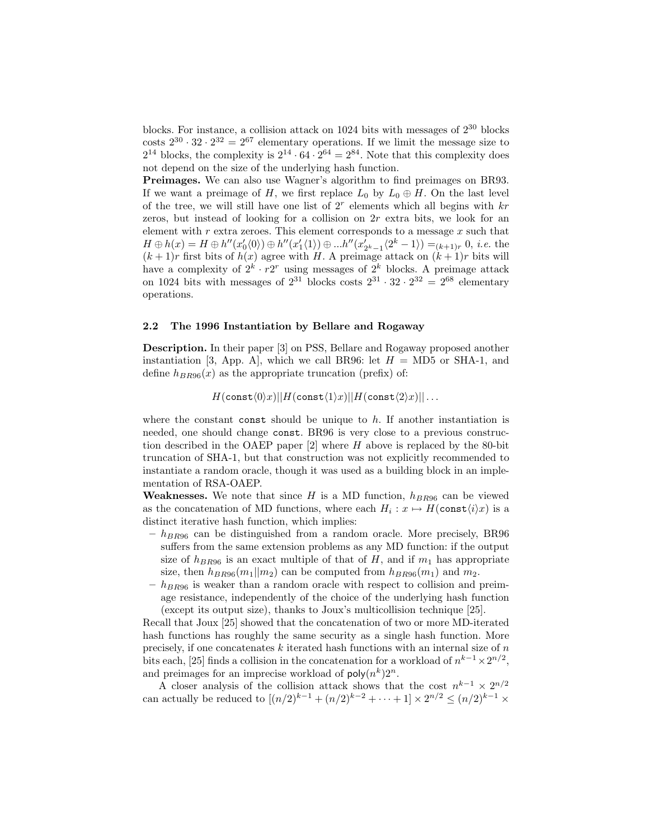blocks. For instance, a collision attack on 1024 bits with messages of  $2^{30}$  blocks costs  $2^{30} \cdot 32 \cdot 2^{32} = 2^{67}$  elementary operations. If we limit the message size to  $2^{14}$  blocks, the complexity is  $2^{14} \cdot 64 \cdot 2^{64} = 2^{84}$ . Note that this complexity does not depend on the size of the underlying hash function.

Preimages. We can also use Wagner's algorithm to find preimages on BR93. If we want a preimage of H, we first replace  $L_0$  by  $L_0 \oplus H$ . On the last level of the tree, we will still have one list of  $2<sup>r</sup>$  elements which all begins with  $kr$ zeros, but instead of looking for a collision on  $2r$  extra bits, we look for an element with  $r$  extra zeroes. This element corresponds to a message  $x$  such that  $H \oplus h(x) = H \oplus h''(x'_0\langle 0 \rangle) \oplus h''(x'_1\langle 1 \rangle) \oplus ...h''(x'_{2^k-1}\langle 2^k-1 \rangle) = (k+1)r$ , 0, *i.e.* the  $(x_1 \cup k(x_1) = R \cup k(x_0 \cup r) \cup k(x_1 \cup r) \cup k(x_2 \cup r)$   $\cup$   $x_2 \cup x_1 \cup r(x_1 \cup r) \cup (k+1)r$  bits will  $(k+1)r$  first bits of  $h(x)$  agree with H. A preimage attack on  $(k+1)r$  bits will have a complexity of  $2^k \cdot r2^r$  using messages of  $2^k$  blocks. A preimage attack on 1024 bits with messages of  $2^{31}$  blocks costs  $2^{31} \cdot 32 \cdot 2^{32} = 2^{68}$  elementary operations.

#### 2.2 The 1996 Instantiation by Bellare and Rogaway

Description. In their paper [3] on PSS, Bellare and Rogaway proposed another instantiation [3, App. A], which we call BR96: let  $H = M\text{D}5$  or SHA-1, and define  $h_{BR96}(x)$  as the appropriate truncation (prefix) of:

 $H(\text{const}\langle0\rangle x)||H(\text{const}\langle1\rangle x)||H(\text{const}\langle2\rangle x)|| \ldots$ 

where the constant const should be unique to  $h$ . If another instantiation is needed, one should change const. BR96 is very close to a previous construction described in the OAEP paper  $[2]$  where H above is replaced by the 80-bit truncation of SHA-1, but that construction was not explicitly recommended to instantiate a random oracle, though it was used as a building block in an implementation of RSA-OAEP.

**Weaknesses.** We note that since H is a MD function,  $h_{BR96}$  can be viewed as the concatenation of MD functions, where each  $H_i: x \mapsto H(\text{const}\langle i \rangle x)$  is a distinct iterative hash function, which implies:

- $-h_{BR96}$  can be distinguished from a random oracle. More precisely, BR96 suffers from the same extension problems as any MD function: if the output size of  $h_{BR96}$  is an exact multiple of that of H, and if  $m_1$  has appropriate size, then  $h_{BB96}(m_1||m_2)$  can be computed from  $h_{BB96}(m_1)$  and  $m_2$ .
- $-h_{BB96}$  is weaker than a random oracle with respect to collision and preimage resistance, independently of the choice of the underlying hash function (except its output size), thanks to Joux's multicollision technique [25].

Recall that Joux [25] showed that the concatenation of two or more MD-iterated hash functions has roughly the same security as a single hash function. More precisely, if one concatenates  $k$  iterated hash functions with an internal size of  $n$ bits each, [25] finds a collision in the concatenation for a workload of  $n^{k-1} \times 2^{n/2}$ , and preimages for an imprecise workload of  $\text{poly}(n^k)2^n$ .

A closer analysis of the collision attack shows that the cost  $n^{k-1} \times 2^{n/2}$ can actually be reduced to  $[(n/2)^{k-1} + (n/2)^{k-2} + \cdots + 1] \times 2^{n/2} \le (n/2)^{k-1} \times$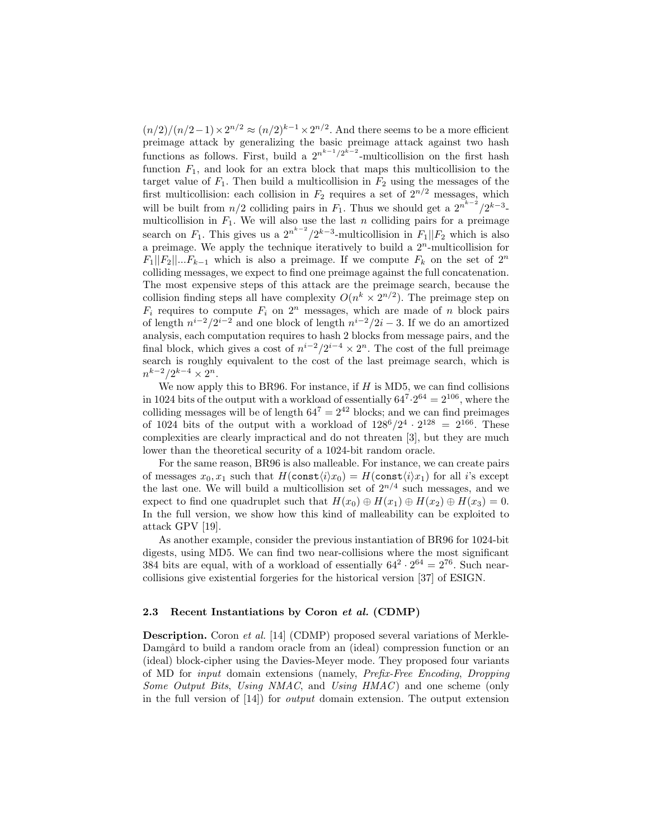$(n/2)/(n/2-1) \times 2^{n/2} \approx (n/2)^{k-1} \times 2^{n/2}$ . And there seems to be a more efficient preimage attack by generalizing the basic preimage attack against two hash functions as follows. First, build a  $2^{n^{k-1}/2^{k-2}}$ -multicollision on the first hash function  $F_1$ , and look for an extra block that maps this multicollision to the target value of  $F_1$ . Then build a multicollision in  $F_2$  using the messages of the first multicollision: each collision in  $F_2$  requires a set of  $2^{n/2}$  messages, which will be built from  $n/2$  colliding pairs in  $F_1$ . Thus we should get a  $2^{n^{k-2}}/2^{k-3}$ multicollision in  $F_1$ . We will also use the last n colliding pairs for a preimage search on  $F_1$ . This gives us a  $2^{n^{k-2}}/2^{k-3}$ -multicollision in  $F_1||F_2$  which is also a preimage. We apply the technique iteratively to build a  $2<sup>n</sup>$ -multicollision for  $F_1||F_2||...F_{k-1}$  which is also a preimage. If we compute  $F_k$  on the set of  $2^n$ colliding messages, we expect to find one preimage against the full concatenation. The most expensive steps of this attack are the preimage search, because the collision finding steps all have complexity  $O(n^k \times 2^{n/2})$ . The preimage step on  $F_i$  requires to compute  $F_i$  on  $2^n$  messages, which are made of n block pairs of length  $n^{i-2}/2^{i-2}$  and one block of length  $n^{i-2}/2i-3$ . If we do an amortized analysis, each computation requires to hash 2 blocks from message pairs, and the final block, which gives a cost of  $n^{i-2}/2^{i-4} \times 2^n$ . The cost of the full preimage search is roughly equivalent to the cost of the last preimage search, which is  $n^{k-2}/2^{k-4} \times 2^n$ .

We now apply this to BR96. For instance, if  $H$  is MD5, we can find collisions in 1024 bits of the output with a workload of essentially  $64^7 \cdot 2^{64} = 2^{106}$ , where the colliding messages will be of length  $64^7 = 2^{42}$  blocks; and we can find preimages of 1024 bits of the output with a workload of  $128^6/2^4 \cdot 2^{128} = 2^{166}$ . These complexities are clearly impractical and do not threaten [3], but they are much lower than the theoretical security of a 1024-bit random oracle.

For the same reason, BR96 is also malleable. For instance, we can create pairs of messages  $x_0, x_1$  such that  $H(\text{const}\langle i \rangle x_0) = H(\text{const}\langle i \rangle x_1)$  for all i's except the last one. We will build a multicollision set of  $2^{n/4}$  such messages, and we expect to find one quadruplet such that  $H(x_0) \oplus H(x_1) \oplus H(x_2) \oplus H(x_3) = 0$ . In the full version, we show how this kind of malleability can be exploited to attack GPV [19].

As another example, consider the previous instantiation of BR96 for 1024-bit digests, using MD5. We can find two near-collisions where the most significant 384 bits are equal, with of a workload of essentially  $64^2 \cdot 2^{64} = 2^{76}$ . Such nearcollisions give existential forgeries for the historical version [37] of ESIGN.

## 2.3 Recent Instantiations by Coron et al. (CDMP)

Description. Coron et al. [14] (CDMP) proposed several variations of Merkle-Damgård to build a random oracle from an (ideal) compression function or an (ideal) block-cipher using the Davies-Meyer mode. They proposed four variants of MD for input domain extensions (namely, Prefix-Free Encoding, Dropping Some Output Bits, Using NMAC, and Using HMAC) and one scheme (only in the full version of [14]) for output domain extension. The output extension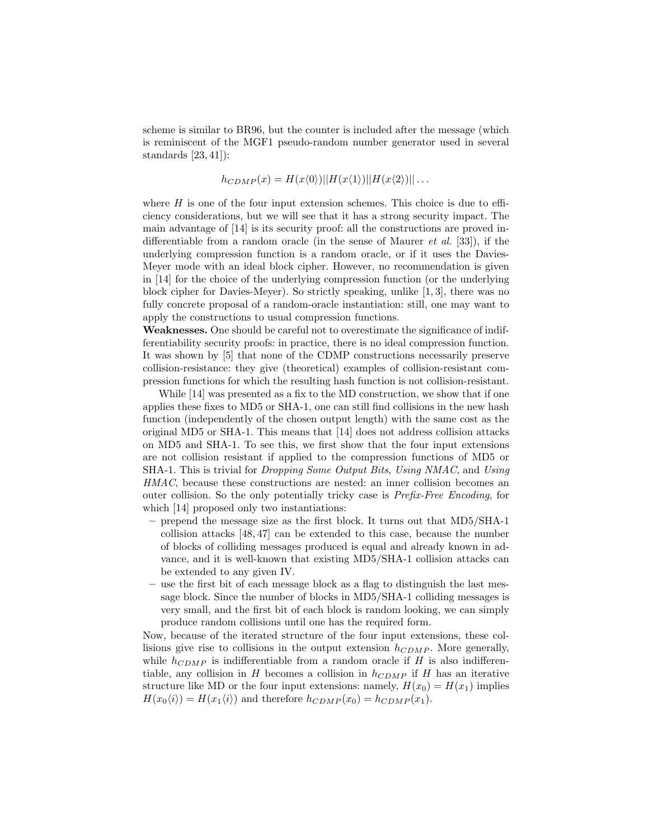scheme is similar to BR96, but the counter is included after the message (which is reminiscent of the MGF1 pseudo-random number generator used in several standards [23, 41]):

$$
h_{CDMP}(x) = H(x\langle 0 \rangle) ||H(x\langle 1 \rangle)||H(x\langle 2 \rangle)||...
$$

where  $H$  is one of the four input extension schemes. This choice is due to efficiency considerations, but we will see that it has a strong security impact. The main advantage of [14] is its security proof: all the constructions are proved indifferentiable from a random oracle (in the sense of Maurer *et al.* [33]), if the underlying compression function is a random oracle, or if it uses the Davies-Meyer mode with an ideal block cipher. However, no recommendation is given in [14] for the choice of the underlying compression function (or the underlying block cipher for Davies-Meyer). So strictly speaking, unlike [1, 3], there was no fully concrete proposal of a random-oracle instantiation: still, one may want to apply the constructions to usual compression functions.

Weaknesses. One should be careful not to overestimate the significance of indifferentiability security proofs: in practice, there is no ideal compression function. It was shown by [5] that none of the CDMP constructions necessarily preserve collision-resistance: they give (theoretical) examples of collision-resistant compression functions for which the resulting hash function is not collision-resistant.

While [14] was presented as a fix to the MD construction, we show that if one applies these fixes to MD5 or SHA-1, one can still find collisions in the new hash function (independently of the chosen output length) with the same cost as the original MD5 or SHA-1. This means that [14] does not address collision attacks on MD5 and SHA-1. To see this, we first show that the four input extensions are not collision resistant if applied to the compression functions of MD5 or SHA-1. This is trivial for Dropping Some Output Bits, Using NMAC, and Using HMAC, because these constructions are nested: an inner collision becomes an outer collision. So the only potentially tricky case is Prefix-Free Encoding, for which [14] proposed only two instantiations:

- prepend the message size as the first block. It turns out that MD5/SHA-1 collision attacks [48, 47] can be extended to this case, because the number of blocks of colliding messages produced is equal and already known in advance, and it is well-known that existing MD5/SHA-1 collision attacks can be extended to any given IV.
- use the first bit of each message block as a flag to distinguish the last message block. Since the number of blocks in MD5/SHA-1 colliding messages is very small, and the first bit of each block is random looking, we can simply produce random collisions until one has the required form.

Now, because of the iterated structure of the four input extensions, these collisions give rise to collisions in the output extension  $h_{CDMP}$ . More generally, while  $h_{CDMP}$  is indifferentiable from a random oracle if H is also indifferentiable, any collision in H becomes a collision in  $h_{CDMP}$  if H has an iterative structure like MD or the four input extensions: namely,  $H(x_0) = H(x_1)$  implies  $H(x_0\langle i \rangle) = H(x_1\langle i \rangle)$  and therefore  $h_{CDMP}(x_0) = h_{CDMP}(x_1)$ .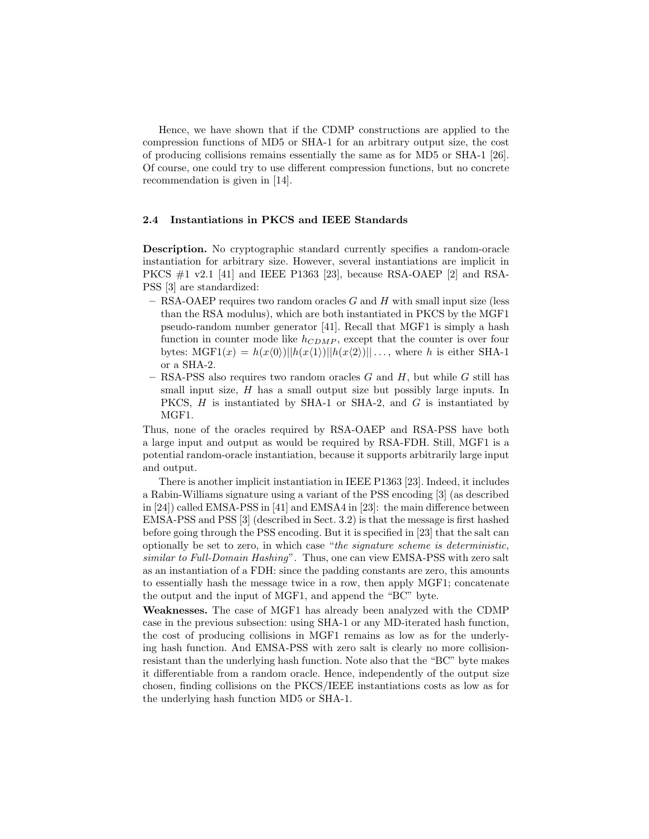Hence, we have shown that if the CDMP constructions are applied to the compression functions of MD5 or SHA-1 for an arbitrary output size, the cost of producing collisions remains essentially the same as for MD5 or SHA-1 [26]. Of course, one could try to use different compression functions, but no concrete recommendation is given in [14].

#### 2.4 Instantiations in PKCS and IEEE Standards

Description. No cryptographic standard currently specifies a random-oracle instantiation for arbitrary size. However, several instantiations are implicit in PKCS #1 v2.1 [41] and IEEE P1363 [23], because RSA-OAEP [2] and RSA-PSS [3] are standardized:

- $-$  RSA-OAEP requires two random oracles G and H with small input size (less than the RSA modulus), which are both instantiated in PKCS by the MGF1 pseudo-random number generator [41]. Recall that MGF1 is simply a hash function in counter mode like  $h_{CDMP}$ , except that the counter is over four bytes:  $MGF1(x) = h(x\langle 0 \rangle)||h(x\langle 1 \rangle)||h(x\langle 2 \rangle)|| \dots$ , where h is either SHA-1 or a SHA-2.
- RSA-PSS also requires two random oracles  $G$  and  $H$ , but while  $G$  still has small input size,  $H$  has a small output size but possibly large inputs. In PKCS, H is instantiated by SHA-1 or SHA-2, and G is instantiated by MGF1.

Thus, none of the oracles required by RSA-OAEP and RSA-PSS have both a large input and output as would be required by RSA-FDH. Still, MGF1 is a potential random-oracle instantiation, because it supports arbitrarily large input and output.

There is another implicit instantiation in IEEE P1363 [23]. Indeed, it includes a Rabin-Williams signature using a variant of the PSS encoding [3] (as described in [24]) called EMSA-PSS in [41] and EMSA4 in [23]: the main difference between EMSA-PSS and PSS [3] (described in Sect. 3.2) is that the message is first hashed before going through the PSS encoding. But it is specified in [23] that the salt can optionally be set to zero, in which case "the signature scheme is deterministic, similar to Full-Domain Hashing". Thus, one can view EMSA-PSS with zero salt as an instantiation of a FDH: since the padding constants are zero, this amounts to essentially hash the message twice in a row, then apply MGF1; concatenate the output and the input of MGF1, and append the "BC" byte.

Weaknesses. The case of MGF1 has already been analyzed with the CDMP case in the previous subsection: using SHA-1 or any MD-iterated hash function, the cost of producing collisions in MGF1 remains as low as for the underlying hash function. And EMSA-PSS with zero salt is clearly no more collisionresistant than the underlying hash function. Note also that the "BC" byte makes it differentiable from a random oracle. Hence, independently of the output size chosen, finding collisions on the PKCS/IEEE instantiations costs as low as for the underlying hash function MD5 or SHA-1.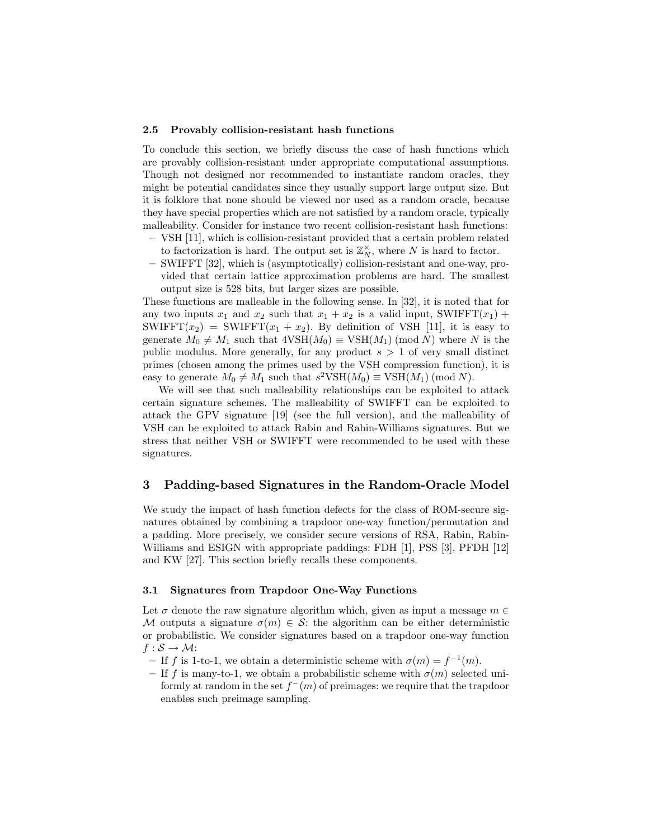#### 2.5 Provably collision-resistant hash functions

To conclude this section, we briefly discuss the case of hash functions which are provably collision-resistant under appropriate computational assumptions. Though not designed nor recommended to instantiate random oracles, they might be potential candidates since they usually support large output size. But it is folklore that none should be viewed nor used as a random oracle, because they have special properties which are not satisfied by a random oracle, typically malleability. Consider for instance two recent collision-resistant hash functions:

- VSH [11], which is collision-resistant provided that a certain problem related to factorization is hard. The output set is  $\mathbb{Z}_N^{\times}$ , where N is hard to factor.
- SWIFFT [32], which is (asymptotically) collision-resistant and one-way, provided that certain lattice approximation problems are hard. The smallest output size is 528 bits, but larger sizes are possible.

These functions are malleable in the following sense. In [32], it is noted that for any two inputs  $x_1$  and  $x_2$  such that  $x_1 + x_2$  is a valid input, SWIFFT $(x_1)$  + SWIFFT $(x_2)$  = SWIFFT $(x_1 + x_2)$ . By definition of VSH [11], it is easy to generate  $M_0 \neq M_1$  such that  $4VSH(M_0) \equiv VSH(M_1) \pmod{N}$  where N is the public modulus. More generally, for any product  $s > 1$  of very small distinct primes (chosen among the primes used by the VSH compression function), it is easy to generate  $M_0 \neq M_1$  such that  $s^2 \text{VSH}(M_0) \equiv \text{VSH}(M_1) \pmod{N}$ .

We will see that such malleability relationships can be exploited to attack certain signature schemes. The malleability of SWIFFT can be exploited to attack the GPV signature [19] (see the full version), and the malleability of VSH can be exploited to attack Rabin and Rabin-Williams signatures. But we stress that neither VSH or SWIFFT were recommended to be used with these signatures.

## 3 Padding-based Signatures in the Random-Oracle Model

We study the impact of hash function defects for the class of ROM-secure signatures obtained by combining a trapdoor one-way function/permutation and a padding. More precisely, we consider secure versions of RSA, Rabin, Rabin-Williams and ESIGN with appropriate paddings: FDH [1], PSS [3], PFDH [12] and KW [27]. This section briefly recalls these components.

#### 3.1 Signatures from Trapdoor One-Way Functions

Let  $\sigma$  denote the raw signature algorithm which, given as input a message  $m \in$ M outputs a signature  $\sigma(m) \in \mathcal{S}$ : the algorithm can be either deterministic or probabilistic. We consider signatures based on a trapdoor one-way function  $f : \mathcal{S} \rightarrow \mathcal{M}$ :

- If f is 1-to-1, we obtain a deterministic scheme with  $\sigma(m) = f^{-1}(m)$ .
- If f is many-to-1, we obtain a probabilistic scheme with  $\sigma(m)$  selected uniformly at random in the set  $f^-(m)$  of preimages: we require that the trapdoor enables such preimage sampling.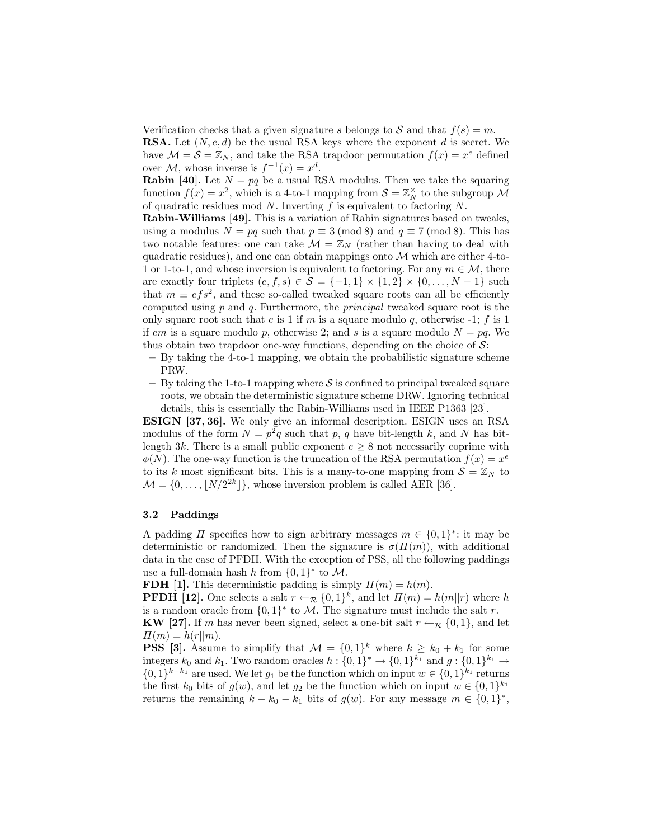Verification checks that a given signature s belongs to S and that  $f(s) = m$ . **RSA.** Let  $(N, e, d)$  be the usual RSA keys where the exponent d is secret. We have  $\mathcal{M} = \mathcal{S} = \mathbb{Z}_N$ , and take the RSA trapdoor permutation  $f(x) = x^e$  defined over  $\mathcal{M}$ , whose inverse is  $f^{-1}(x) = x^d$ .

**Rabin [40].** Let  $N = pq$  be a usual RSA modulus. Then we take the squaring function  $f(x) = x^2$ , which is a 4-to-1 mapping from  $S = \mathbb{Z}_N^{\times}$  to the subgroup M of quadratic residues mod  $N$ . Inverting  $f$  is equivalent to factoring  $N$ .

Rabin-Williams [49]. This is a variation of Rabin signatures based on tweaks, using a modulus  $N = pq$  such that  $p \equiv 3 \pmod{8}$  and  $q \equiv 7 \pmod{8}$ . This has two notable features: one can take  $\mathcal{M} = \mathbb{Z}_N$  (rather than having to deal with quadratic residues), and one can obtain mappings onto  $M$  which are either 4-to-1 or 1-to-1, and whose inversion is equivalent to factoring. For any  $m \in \mathcal{M}$ , there are exactly four triplets  $(e, f, s) \in \mathcal{S} = \{-1, 1\} \times \{1, 2\} \times \{0, \ldots, N - 1\}$  such that  $m \equiv e f s^2$ , and these so-called tweaked square roots can all be efficiently computed using  $p$  and  $q$ . Furthermore, the *principal* tweaked square root is the only square root such that e is 1 if m is a square modulo q, otherwise -1; f is 1 if em is a square modulo p, otherwise 2; and s is a square modulo  $N = pq$ . We thus obtain two trapdoor one-way functions, depending on the choice of  $\mathcal{S}$ :

- By taking the 4-to-1 mapping, we obtain the probabilistic signature scheme PRW.
- By taking the 1-to-1 mapping where  $S$  is confined to principal tweaked square roots, we obtain the deterministic signature scheme DRW. Ignoring technical details, this is essentially the Rabin-Williams used in IEEE P1363 [23].

ESIGN [37, 36]. We only give an informal description. ESIGN uses an RSA modulus of the form  $N = p^2q$  such that p, q have bit-length k, and N has bitlength 3k. There is a small public exponent  $e \geq 8$  not necessarily coprime with  $\phi(N)$ . The one-way function is the truncation of the RSA permutation  $f(x) = x^e$ to its k most significant bits. This is a many-to-one mapping from  $S = \mathbb{Z}_N$  to  $\mathcal{M} = \{0, \ldots, |N/2^{2k}| \}$ , whose inversion problem is called AER [36].

#### 3.2 Paddings

A padding  $\Pi$  specifies how to sign arbitrary messages  $m \in \{0,1\}^*$ : it may be deterministic or randomized. Then the signature is  $\sigma(\Pi(m))$ , with additional data in the case of PFDH. With the exception of PSS, all the following paddings use a full-domain hash h from  $\{0,1\}^*$  to M.

FDH [1]. This deterministic padding is simply  $\Pi(m) = h(m)$ .

**PFDH** [12]. One selects a salt  $r \leftarrow_{\mathcal{R}} \{0,1\}^k$ , and let  $\Pi(m) = h(m||r)$  where h is a random oracle from  $\{0,1\}^*$  to M. The signature must include the salt r. KW [27]. If m has never been signed, select a one-bit salt  $r \leftarrow \mathbb{R} \{0, 1\}$ , and let  $\Pi(m) = h(r||m).$ 

**PSS** [3]. Assume to simplify that  $\mathcal{M} = \{0, 1\}^k$  where  $k \geq k_0 + k_1$  for some integers  $k_0$  and  $k_1$ . Two random oracles  $h: \{0,1\}^* \to \{0,1\}^{k_1}$  and  $g: \{0,1\}^{k_1} \to$  $\{0,1\}^{k-k_1}$  are used. We let  $g_1$  be the function which on input  $w \in \{0,1\}^{k_1}$  returns the first  $k_0$  bits of  $g(w)$ , and let  $g_2$  be the function which on input  $w \in \{0,1\}^{k_1}$ returns the remaining  $k - k_0 - k_1$  bits of  $g(w)$ . For any message  $m \in \{0, 1\}^*$ ,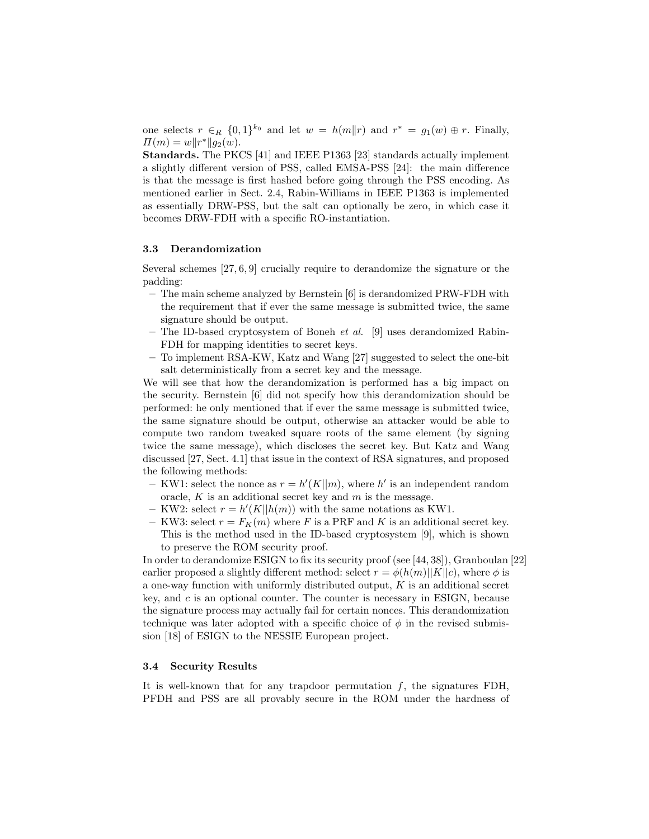one selects  $r \in_R \{0,1\}^{k_0}$  and let  $w = h(m||r)$  and  $r^* = g_1(w) \oplus r$ . Finally,  $\Pi(m) = w \|r^*\| g_2(w).$ 

Standards. The PKCS [41] and IEEE P1363 [23] standards actually implement a slightly different version of PSS, called EMSA-PSS [24]: the main difference is that the message is first hashed before going through the PSS encoding. As mentioned earlier in Sect. 2.4, Rabin-Williams in IEEE P1363 is implemented as essentially DRW-PSS, but the salt can optionally be zero, in which case it becomes DRW-FDH with a specific RO-instantiation.

## 3.3 Derandomization

Several schemes [27, 6, 9] crucially require to derandomize the signature or the padding:

- The main scheme analyzed by Bernstein [6] is derandomized PRW-FDH with the requirement that if ever the same message is submitted twice, the same signature should be output.
- The ID-based cryptosystem of Boneh et al. [9] uses derandomized Rabin-FDH for mapping identities to secret keys.
- To implement RSA-KW, Katz and Wang [27] suggested to select the one-bit salt deterministically from a secret key and the message.

We will see that how the derandomization is performed has a big impact on the security. Bernstein [6] did not specify how this derandomization should be performed: he only mentioned that if ever the same message is submitted twice, the same signature should be output, otherwise an attacker would be able to compute two random tweaked square roots of the same element (by signing twice the same message), which discloses the secret key. But Katz and Wang discussed [27, Sect. 4.1] that issue in the context of RSA signatures, and proposed the following methods:

- KW1: select the nonce as  $r = h'(K||m)$ , where h' is an independent random oracle,  $K$  is an additional secret key and  $m$  is the message.
- KW2: select  $r = h'(K||h(m))$  with the same notations as KW1.
- KW3: select  $r = F_K(m)$  where F is a PRF and K is an additional secret key. This is the method used in the ID-based cryptosystem [9], which is shown to preserve the ROM security proof.

In order to derandomize ESIGN to fix its security proof (see [44, 38]), Granboulan [22] earlier proposed a slightly different method: select  $r = \phi(h(m)||K||c)$ , where  $\phi$  is a one-way function with uniformly distributed output,  $K$  is an additional secret key, and c is an optional counter. The counter is necessary in ESIGN, because the signature process may actually fail for certain nonces. This derandomization technique was later adopted with a specific choice of  $\phi$  in the revised submission [18] of ESIGN to the NESSIE European project.

#### 3.4 Security Results

It is well-known that for any trapdoor permutation  $f$ , the signatures FDH, PFDH and PSS are all provably secure in the ROM under the hardness of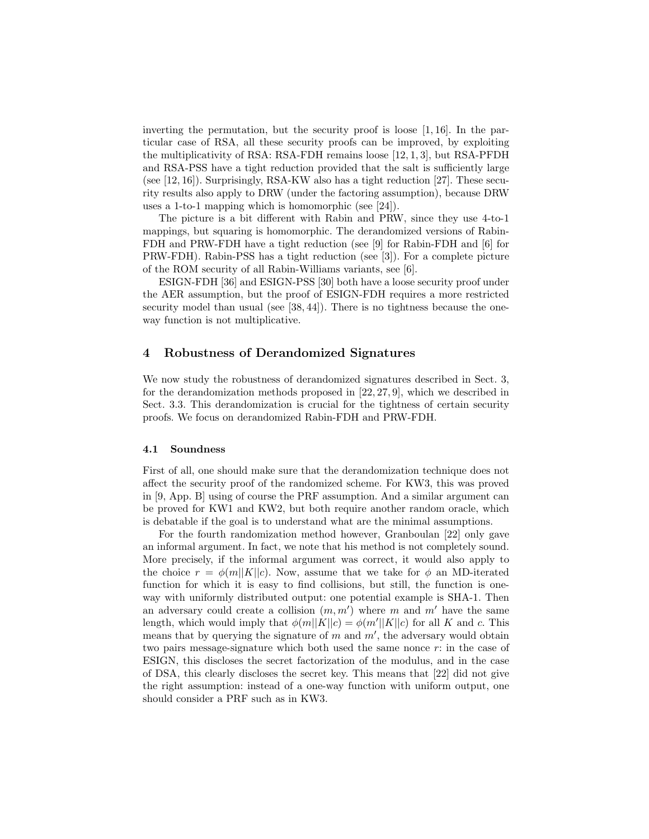inverting the permutation, but the security proof is loose [1, 16]. In the particular case of RSA, all these security proofs can be improved, by exploiting the multiplicativity of RSA: RSA-FDH remains loose [12, 1, 3], but RSA-PFDH and RSA-PSS have a tight reduction provided that the salt is sufficiently large (see [12, 16]). Surprisingly, RSA-KW also has a tight reduction [27]. These security results also apply to DRW (under the factoring assumption), because DRW uses a 1-to-1 mapping which is homomorphic (see [24]).

The picture is a bit different with Rabin and PRW, since they use 4-to-1 mappings, but squaring is homomorphic. The derandomized versions of Rabin-FDH and PRW-FDH have a tight reduction (see [9] for Rabin-FDH and [6] for PRW-FDH). Rabin-PSS has a tight reduction (see [3]). For a complete picture of the ROM security of all Rabin-Williams variants, see [6].

ESIGN-FDH [36] and ESIGN-PSS [30] both have a loose security proof under the AER assumption, but the proof of ESIGN-FDH requires a more restricted security model than usual (see [38, 44]). There is no tightness because the oneway function is not multiplicative.

# 4 Robustness of Derandomized Signatures

We now study the robustness of derandomized signatures described in Sect. 3, for the derandomization methods proposed in [22, 27, 9], which we described in Sect. 3.3. This derandomization is crucial for the tightness of certain security proofs. We focus on derandomized Rabin-FDH and PRW-FDH.

#### 4.1 Soundness

First of all, one should make sure that the derandomization technique does not affect the security proof of the randomized scheme. For KW3, this was proved in [9, App. B] using of course the PRF assumption. And a similar argument can be proved for KW1 and KW2, but both require another random oracle, which is debatable if the goal is to understand what are the minimal assumptions.

For the fourth randomization method however, Granboulan [22] only gave an informal argument. In fact, we note that his method is not completely sound. More precisely, if the informal argument was correct, it would also apply to the choice  $r = \phi(m||K||c)$ . Now, assume that we take for  $\phi$  an MD-iterated function for which it is easy to find collisions, but still, the function is oneway with uniformly distributed output: one potential example is SHA-1. Then an adversary could create a collision  $(m, m')$  where m and m' have the same length, which would imply that  $\phi(m||K||c) = \phi(m'||K||c)$  for all K and c. This means that by querying the signature of  $m$  and  $m'$ , the adversary would obtain two pairs message-signature which both used the same nonce  $r$ : in the case of ESIGN, this discloses the secret factorization of the modulus, and in the case of DSA, this clearly discloses the secret key. This means that [22] did not give the right assumption: instead of a one-way function with uniform output, one should consider a PRF such as in KW3.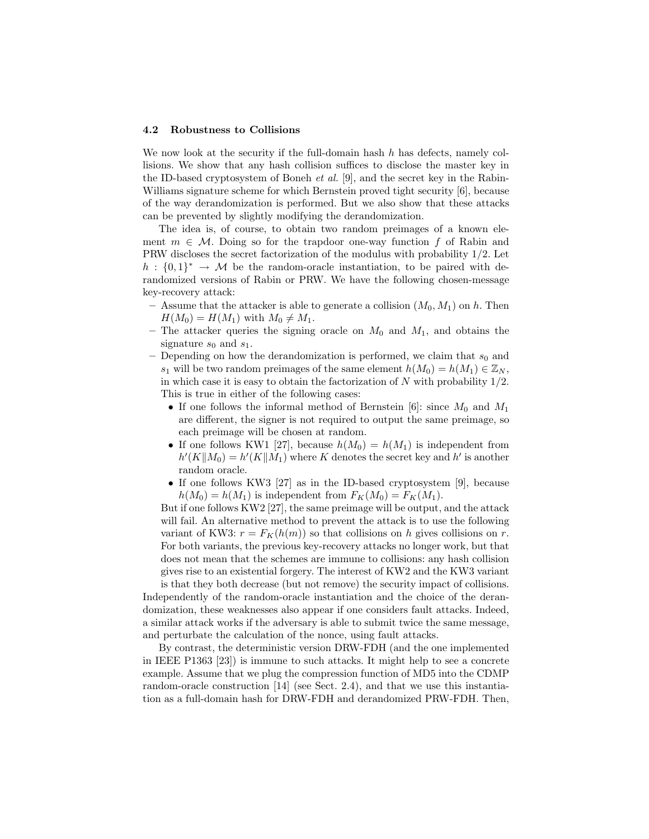#### 4.2 Robustness to Collisions

We now look at the security if the full-domain hash  $h$  has defects, namely collisions. We show that any hash collision suffices to disclose the master key in the ID-based cryptosystem of Boneh *et al.* [9], and the secret key in the Rabin-Williams signature scheme for which Bernstein proved tight security [6], because of the way derandomization is performed. But we also show that these attacks can be prevented by slightly modifying the derandomization.

The idea is, of course, to obtain two random preimages of a known element  $m \in \mathcal{M}$ . Doing so for the trapdoor one-way function f of Rabin and PRW discloses the secret factorization of the modulus with probability 1/2. Let  $h: \{0,1\}^* \to \mathcal{M}$  be the random-oracle instantiation, to be paired with derandomized versions of Rabin or PRW. We have the following chosen-message key-recovery attack:

- Assume that the attacker is able to generate a collision  $(M_0, M_1)$  on h. Then  $H(M_0) = H(M_1)$  with  $M_0 \neq M_1$ .
- The attacker queries the signing oracle on  $M_0$  and  $M_1$ , and obtains the signature  $s_0$  and  $s_1$ .
- Depending on how the derandomization is performed, we claim that  $s_0$  and s<sub>1</sub> will be two random preimages of the same element  $h(M_0) = h(M_1) \in \mathbb{Z}_N$ . in which case it is easy to obtain the factorization of  $N$  with probability  $1/2$ . This is true in either of the following cases:
	- If one follows the informal method of Bernstein [6]: since  $M_0$  and  $M_1$ are different, the signer is not required to output the same preimage, so each preimage will be chosen at random.
	- If one follows KW1 [27], because  $h(M_0) = h(M_1)$  is independent from  $h'(K||M_0) = h'(K||M_1)$  where K denotes the secret key and  $h'$  is another random oracle.
	- If one follows KW3 [27] as in the ID-based cryptosystem [9], because  $h(M_0) = h(M_1)$  is independent from  $F_K(M_0) = F_K(M_1)$ .

But if one follows KW2 [27], the same preimage will be output, and the attack will fail. An alternative method to prevent the attack is to use the following variant of KW3:  $r = F_K(h(m))$  so that collisions on h gives collisions on r. For both variants, the previous key-recovery attacks no longer work, but that does not mean that the schemes are immune to collisions: any hash collision gives rise to an existential forgery. The interest of KW2 and the KW3 variant

is that they both decrease (but not remove) the security impact of collisions. Independently of the random-oracle instantiation and the choice of the derandomization, these weaknesses also appear if one considers fault attacks. Indeed, a similar attack works if the adversary is able to submit twice the same message, and perturbate the calculation of the nonce, using fault attacks.

By contrast, the deterministic version DRW-FDH (and the one implemented in IEEE P1363 [23]) is immune to such attacks. It might help to see a concrete example. Assume that we plug the compression function of MD5 into the CDMP random-oracle construction [14] (see Sect. 2.4), and that we use this instantiation as a full-domain hash for DRW-FDH and derandomized PRW-FDH. Then,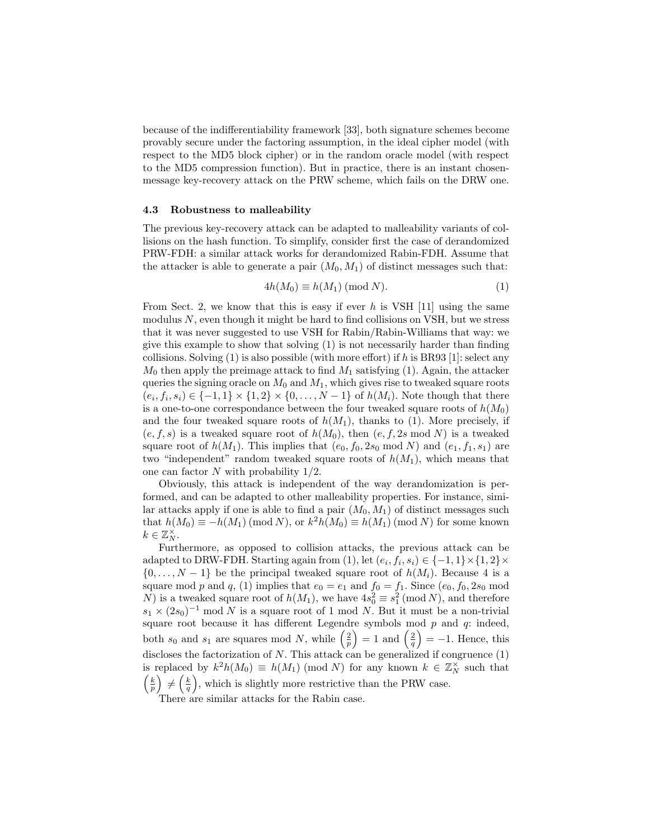because of the indifferentiability framework [33], both signature schemes become provably secure under the factoring assumption, in the ideal cipher model (with respect to the MD5 block cipher) or in the random oracle model (with respect to the MD5 compression function). But in practice, there is an instant chosenmessage key-recovery attack on the PRW scheme, which fails on the DRW one.

#### 4.3 Robustness to malleability

The previous key-recovery attack can be adapted to malleability variants of collisions on the hash function. To simplify, consider first the case of derandomized PRW-FDH: a similar attack works for derandomized Rabin-FDH. Assume that the attacker is able to generate a pair  $(M_0, M_1)$  of distinct messages such that:

$$
4h(M_0) \equiv h(M_1) \pmod{N}.
$$
 (1)

From Sect. 2, we know that this is easy if ever h is VSH  $[11]$  using the same modulus  $N$ , even though it might be hard to find collisions on VSH, but we stress that it was never suggested to use VSH for Rabin/Rabin-Williams that way: we give this example to show that solving (1) is not necessarily harder than finding collisions. Solving  $(1)$  is also possible (with more effort) if h is BR93 [1]: select any  $M_0$  then apply the preimage attack to find  $M_1$  satisfying (1). Again, the attacker queries the signing oracle on  $M_0$  and  $M_1$ , which gives rise to tweaked square roots  $(e_i, f_i, s_i) \in \{-1, 1\} \times \{1, 2\} \times \{0, \ldots, N - 1\}$  of  $h(M_i)$ . Note though that there is a one-to-one correspondance between the four tweaked square roots of  $h(M_0)$ and the four tweaked square roots of  $h(M_1)$ , thanks to (1). More precisely, if  $(e, f, s)$  is a tweaked square root of  $h(M_0)$ , then  $(e, f, 2s \mod N)$  is a tweaked square root of  $h(M_1)$ . This implies that  $(e_0, f_0, 2s_0 \mod N)$  and  $(e_1, f_1, s_1)$  are two "independent" random tweaked square roots of  $h(M_1)$ , which means that one can factor  $N$  with probability  $1/2$ .

Obviously, this attack is independent of the way derandomization is performed, and can be adapted to other malleability properties. For instance, similar attacks apply if one is able to find a pair  $(M_0, M_1)$  of distinct messages such that  $h(M_0) \equiv -h(M_1) \pmod{N}$ , or  $k^2 h(M_0) \equiv h(M_1) \pmod{N}$  for some known  $k \in \mathbb{Z}_N^{\times}$ .

Furthermore, as opposed to collision attacks, the previous attack can be adapted to DRW-FDH. Starting again from (1), let  $(e_i, f_i, s_i) \in \{-1, 1\} \times \{1, 2\} \times$  $\{0, \ldots, N-1\}$  be the principal tweaked square root of  $h(M_i)$ . Because 4 is a square mod p and q, (1) implies that  $e_0 = e_1$  and  $f_0 = f_1$ . Since  $(e_0, f_0, 2s_0 \mod$ N) is a tweaked square root of  $h(M_1)$ , we have  $4s_0^2 \equiv s_1^2 \pmod{N}$ , and therefore  $s_1 \times (2s_0)^{-1}$  mod N is a square root of 1 mod N. But it must be a non-trivial square root because it has different Legendre symbols mod  $p$  and  $q$ : indeed, both  $s_0$  and  $s_1$  are squares mod N, while  $\left(\frac{2}{p}\right) = 1$  and  $\left(\frac{2}{q}\right) = -1$ . Hence, this discloses the factorization of  $N$ . This attack can be generalized if congruence  $(1)$ is replaced by  $k^2h(M_0) \equiv h(M_1) \pmod{N}$  for any known  $k \in \mathbb{Z}_N^{\times}$  such that  $\left(\frac{k}{p}\right) \neq \left(\frac{k}{q}\right)$ , which is slightly more restrictive than the PRW case.

There are similar attacks for the Rabin case.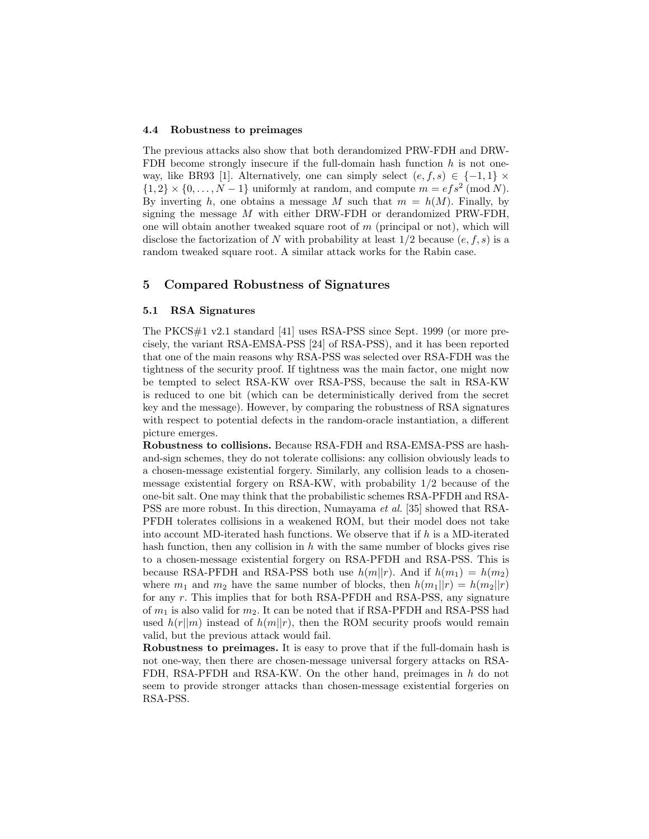#### 4.4 Robustness to preimages

The previous attacks also show that both derandomized PRW-FDH and DRW-FDH become strongly insecure if the full-domain hash function  $h$  is not oneway, like BR93 [1]. Alternatively, one can simply select  $(e, f, s) \in \{-1, 1\} \times$  $\{1,2\} \times \{0,\ldots,N-1\}$  uniformly at random, and compute  $m = efs^2 \pmod{N}$ . By inverting h, one obtains a message M such that  $m = h(M)$ . Finally, by signing the message M with either DRW-FDH or derandomized PRW-FDH, one will obtain another tweaked square root of  $m$  (principal or not), which will disclose the factorization of N with probability at least  $1/2$  because  $(e, f, s)$  is a random tweaked square root. A similar attack works for the Rabin case.

# 5 Compared Robustness of Signatures

#### 5.1 RSA Signatures

The PKCS#1 v2.1 standard [41] uses RSA-PSS since Sept. 1999 (or more precisely, the variant RSA-EMSA-PSS [24] of RSA-PSS), and it has been reported that one of the main reasons why RSA-PSS was selected over RSA-FDH was the tightness of the security proof. If tightness was the main factor, one might now be tempted to select RSA-KW over RSA-PSS, because the salt in RSA-KW is reduced to one bit (which can be deterministically derived from the secret key and the message). However, by comparing the robustness of RSA signatures with respect to potential defects in the random-oracle instantiation, a different picture emerges.

Robustness to collisions. Because RSA-FDH and RSA-EMSA-PSS are hashand-sign schemes, they do not tolerate collisions: any collision obviously leads to a chosen-message existential forgery. Similarly, any collision leads to a chosenmessage existential forgery on RSA-KW, with probability 1/2 because of the one-bit salt. One may think that the probabilistic schemes RSA-PFDH and RSA-PSS are more robust. In this direction, Numayama et al. [35] showed that RSA-PFDH tolerates collisions in a weakened ROM, but their model does not take into account MD-iterated hash functions. We observe that if  $h$  is a MD-iterated hash function, then any collision in  $h$  with the same number of blocks gives rise to a chosen-message existential forgery on RSA-PFDH and RSA-PSS. This is because RSA-PFDH and RSA-PSS both use  $h(m||r)$ . And if  $h(m_1) = h(m_2)$ where  $m_1$  and  $m_2$  have the same number of blocks, then  $h(m_1||r) = h(m_2||r)$ for any r. This implies that for both RSA-PFDH and RSA-PSS, any signature of  $m_1$  is also valid for  $m_2$ . It can be noted that if RSA-PFDH and RSA-PSS had used  $h(r||m)$  instead of  $h(m||r)$ , then the ROM security proofs would remain valid, but the previous attack would fail.

Robustness to preimages. It is easy to prove that if the full-domain hash is not one-way, then there are chosen-message universal forgery attacks on RSA-FDH, RSA-PFDH and RSA-KW. On the other hand, preimages in h do not seem to provide stronger attacks than chosen-message existential forgeries on RSA-PSS.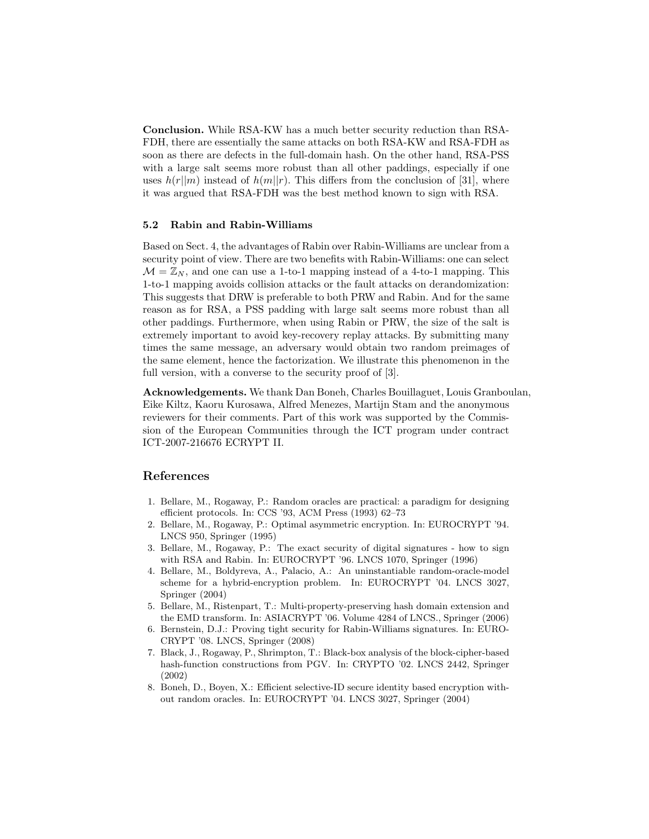Conclusion. While RSA-KW has a much better security reduction than RSA-FDH, there are essentially the same attacks on both RSA-KW and RSA-FDH as soon as there are defects in the full-domain hash. On the other hand, RSA-PSS with a large salt seems more robust than all other paddings, especially if one uses  $h(r||m)$  instead of  $h(m||r)$ . This differs from the conclusion of [31], where it was argued that RSA-FDH was the best method known to sign with RSA.

#### 5.2 Rabin and Rabin-Williams

Based on Sect. 4, the advantages of Rabin over Rabin-Williams are unclear from a security point of view. There are two benefits with Rabin-Williams: one can select  $\mathcal{M} = \mathbb{Z}_N$ , and one can use a 1-to-1 mapping instead of a 4-to-1 mapping. This 1-to-1 mapping avoids collision attacks or the fault attacks on derandomization: This suggests that DRW is preferable to both PRW and Rabin. And for the same reason as for RSA, a PSS padding with large salt seems more robust than all other paddings. Furthermore, when using Rabin or PRW, the size of the salt is extremely important to avoid key-recovery replay attacks. By submitting many times the same message, an adversary would obtain two random preimages of the same element, hence the factorization. We illustrate this phenomenon in the full version, with a converse to the security proof of  $[3]$ .

Acknowledgements. We thank Dan Boneh, Charles Bouillaguet, Louis Granboulan, Eike Kiltz, Kaoru Kurosawa, Alfred Menezes, Martijn Stam and the anonymous reviewers for their comments. Part of this work was supported by the Commission of the European Communities through the ICT program under contract ICT-2007-216676 ECRYPT II.

# References

- 1. Bellare, M., Rogaway, P.: Random oracles are practical: a paradigm for designing efficient protocols. In: CCS '93, ACM Press (1993) 62–73
- 2. Bellare, M., Rogaway, P.: Optimal asymmetric encryption. In: EUROCRYPT '94. LNCS 950, Springer (1995)
- 3. Bellare, M., Rogaway, P.: The exact security of digital signatures how to sign with RSA and Rabin. In: EUROCRYPT '96. LNCS 1070, Springer (1996)
- 4. Bellare, M., Boldyreva, A., Palacio, A.: An uninstantiable random-oracle-model scheme for a hybrid-encryption problem. In: EUROCRYPT '04. LNCS 3027, Springer (2004)
- 5. Bellare, M., Ristenpart, T.: Multi-property-preserving hash domain extension and the EMD transform. In: ASIACRYPT '06. Volume 4284 of LNCS., Springer (2006)
- 6. Bernstein, D.J.: Proving tight security for Rabin-Williams signatures. In: EURO-CRYPT '08. LNCS, Springer (2008)
- 7. Black, J., Rogaway, P., Shrimpton, T.: Black-box analysis of the block-cipher-based hash-function constructions from PGV. In: CRYPTO '02. LNCS 2442, Springer (2002)
- 8. Boneh, D., Boyen, X.: Efficient selective-ID secure identity based encryption without random oracles. In: EUROCRYPT '04. LNCS 3027, Springer (2004)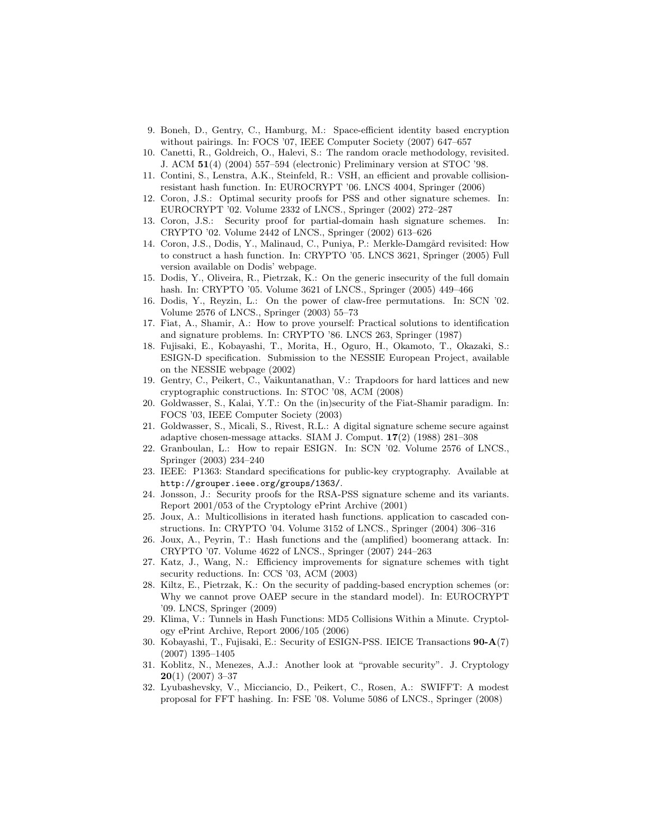- 9. Boneh, D., Gentry, C., Hamburg, M.: Space-efficient identity based encryption without pairings. In: FOCS '07, IEEE Computer Society (2007) 647–657
- 10. Canetti, R., Goldreich, O., Halevi, S.: The random oracle methodology, revisited. J. ACM 51(4) (2004) 557–594 (electronic) Preliminary version at STOC '98.
- 11. Contini, S., Lenstra, A.K., Steinfeld, R.: VSH, an efficient and provable collisionresistant hash function. In: EUROCRYPT '06. LNCS 4004, Springer (2006)
- 12. Coron, J.S.: Optimal security proofs for PSS and other signature schemes. In: EUROCRYPT '02. Volume 2332 of LNCS., Springer (2002) 272–287
- 13. Coron, J.S.: Security proof for partial-domain hash signature schemes. In: CRYPTO '02. Volume 2442 of LNCS., Springer (2002) 613–626
- 14. Coron, J.S., Dodis, Y., Malinaud, C., Puniya, P.: Merkle-Damgård revisited: How to construct a hash function. In: CRYPTO '05. LNCS 3621, Springer (2005) Full version available on Dodis' webpage.
- 15. Dodis, Y., Oliveira, R., Pietrzak, K.: On the generic insecurity of the full domain hash. In: CRYPTO '05. Volume 3621 of LNCS., Springer (2005) 449–466
- 16. Dodis, Y., Reyzin, L.: On the power of claw-free permutations. In: SCN '02. Volume 2576 of LNCS., Springer (2003) 55–73
- 17. Fiat, A., Shamir, A.: How to prove yourself: Practical solutions to identification and signature problems. In: CRYPTO '86. LNCS 263, Springer (1987)
- 18. Fujisaki, E., Kobayashi, T., Morita, H., Oguro, H., Okamoto, T., Okazaki, S.: ESIGN-D specification. Submission to the NESSIE European Project, available on the NESSIE webpage (2002)
- 19. Gentry, C., Peikert, C., Vaikuntanathan, V.: Trapdoors for hard lattices and new cryptographic constructions. In: STOC '08, ACM (2008)
- 20. Goldwasser, S., Kalai, Y.T.: On the (in)security of the Fiat-Shamir paradigm. In: FOCS '03, IEEE Computer Society (2003)
- 21. Goldwasser, S., Micali, S., Rivest, R.L.: A digital signature scheme secure against adaptive chosen-message attacks. SIAM J. Comput. 17(2) (1988) 281–308
- 22. Granboulan, L.: How to repair ESIGN. In: SCN '02. Volume 2576 of LNCS., Springer (2003) 234–240
- 23. IEEE: P1363: Standard specifications for public-key cryptography. Available at http://grouper.ieee.org/groups/1363/.
- 24. Jonsson, J.: Security proofs for the RSA-PSS signature scheme and its variants. Report 2001/053 of the Cryptology ePrint Archive (2001)
- 25. Joux, A.: Multicollisions in iterated hash functions. application to cascaded constructions. In: CRYPTO '04. Volume 3152 of LNCS., Springer (2004) 306–316
- 26. Joux, A., Peyrin, T.: Hash functions and the (amplified) boomerang attack. In: CRYPTO '07. Volume 4622 of LNCS., Springer (2007) 244–263
- 27. Katz, J., Wang, N.: Efficiency improvements for signature schemes with tight security reductions. In: CCS '03, ACM (2003)
- 28. Kiltz, E., Pietrzak, K.: On the security of padding-based encryption schemes (or: Why we cannot prove OAEP secure in the standard model). In: EUROCRYPT '09. LNCS, Springer (2009)
- 29. Klima, V.: Tunnels in Hash Functions: MD5 Collisions Within a Minute. Cryptology ePrint Archive, Report 2006/105 (2006)
- 30. Kobayashi, T., Fujisaki, E.: Security of ESIGN-PSS. IEICE Transactions 90-A(7) (2007) 1395–1405
- 31. Koblitz, N., Menezes, A.J.: Another look at "provable security". J. Cryptology  $20(1)$  (2007) 3-37
- 32. Lyubashevsky, V., Micciancio, D., Peikert, C., Rosen, A.: SWIFFT: A modest proposal for FFT hashing. In: FSE '08. Volume 5086 of LNCS., Springer (2008)